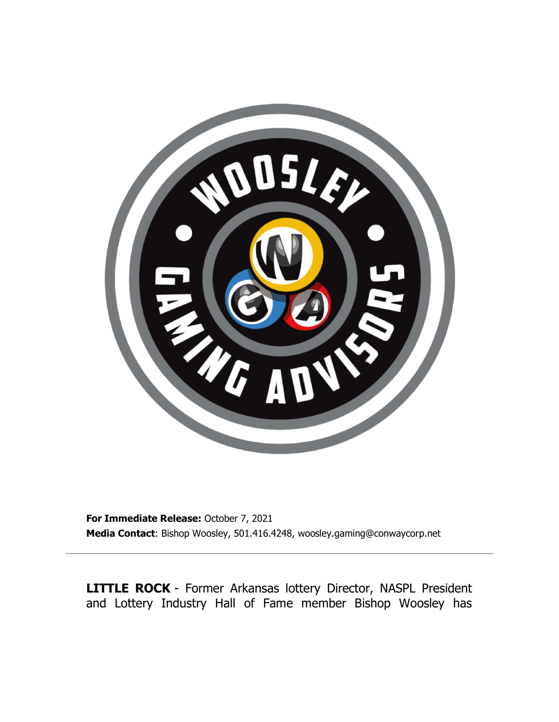

**For Immediate Release:** October 7, 2021 **Media Contact**: Bishop Woosley, 501.416.4248, woosley.gaming@conwaycorp.net

**LITTLE ROCK** - Former Arkansas lottery Director, NASPL President and Lottery Industry Hall of Fame member Bishop Woosley has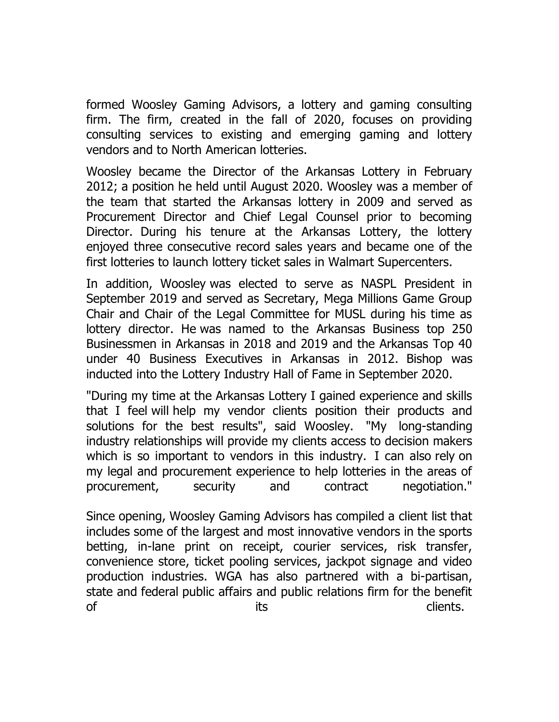formed Woosley Gaming Advisors, a lottery and gaming consulting firm. The firm, created in the fall of 2020, focuses on providing consulting services to existing and emerging gaming and lottery vendors and to North American lotteries.

Woosley became the Director of the Arkansas Lottery in February 2012; a position he held until August 2020. Woosley was a member of the team that started the Arkansas lottery in 2009 and served as Procurement Director and Chief Legal Counsel prior to becoming Director. During his tenure at the Arkansas Lottery, the lottery enjoyed three consecutive record sales years and became one of the first lotteries to launch lottery ticket sales in Walmart Supercenters.

In addition, Woosley was elected to serve as NASPL President in September 2019 and served as Secretary, Mega Millions Game Group Chair and Chair of the Legal Committee for MUSL during his time as lottery director. He was named to the Arkansas Business top 250 Businessmen in Arkansas in 2018 and 2019 and the Arkansas Top 40 under 40 Business Executives in Arkansas in 2012. Bishop was inducted into the Lottery Industry Hall of Fame in September 2020.

"During my time at the Arkansas Lottery I gained experience and skills that I feel will help my vendor clients position their products and solutions for the best results", said Woosley. "My long-standing industry relationships will provide my clients access to decision makers which is so important to vendors in this industry. I can also rely on my legal and procurement experience to help lotteries in the areas of procurement, security and contract negotiation."

Since opening, Woosley Gaming Advisors has compiled a client list that includes some of the largest and most innovative vendors in the sports betting, in-lane print on receipt, courier services, risk transfer, convenience store, ticket pooling services, jackpot signage and video production industries. WGA has also partnered with a bi-partisan, state and federal public affairs and public relations firm for the benefit of the contract of the contract of the clients.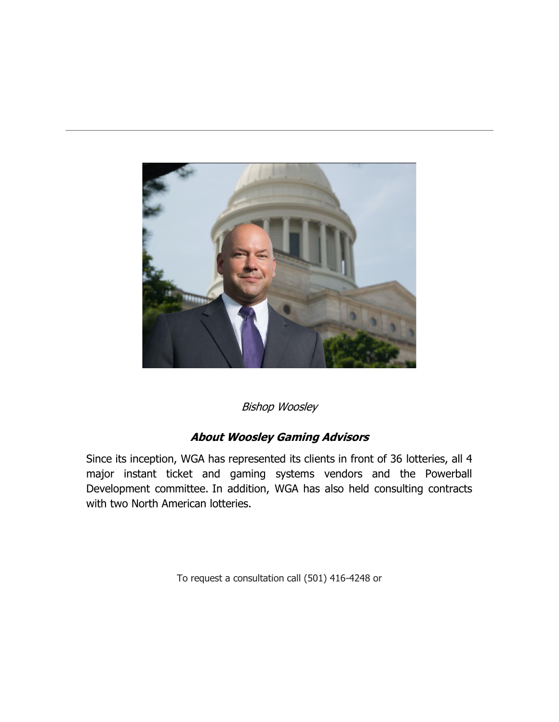

Bishop Woosley

## **About Woosley Gaming Advisors**

Since its inception, WGA has represented its clients in front of 36 lotteries, all 4 major instant ticket and gaming systems vendors and the Powerball Development committee. In addition, WGA has also held consulting contracts with two North American lotteries.

[To request a consultation call \(501\) 416-4248 or](https://www.woosleygaming.com/)